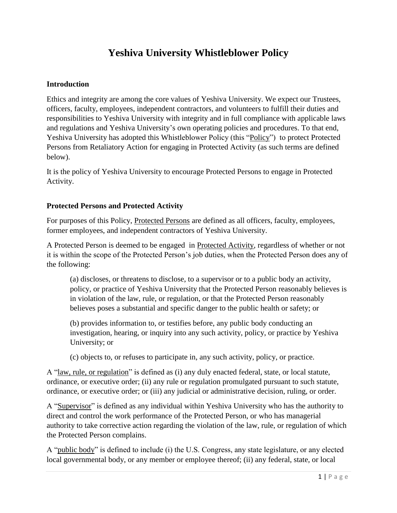# **Yeshiva University Whistleblower Policy**

#### **Introduction**

Ethics and integrity are among the core values of Yeshiva University. We expect our Trustees, officers, faculty, employees, independent contractors, and volunteers to fulfill their duties and responsibilities to Yeshiva University with integrity and in full compliance with applicable laws and regulations and Yeshiva University's own operating policies and procedures. To that end, Yeshiva University has adopted this Whistleblower Policy (this "Policy") to protect Protected Persons from Retaliatory Action for engaging in Protected Activity (as such terms are defined below).

It is the policy of Yeshiva University to encourage Protected Persons to engage in Protected Activity.

#### **Protected Persons and Protected Activity**

For purposes of this Policy, Protected Persons are defined as all officers, faculty, employees, former employees, and independent contractors of Yeshiva University.

A Protected Person is deemed to be engaged in Protected Activity, regardless of whether or not it is within the scope of the Protected Person's job duties, when the Protected Person does any of the following:

(a) discloses, or threatens to disclose, to a supervisor or to a public body an activity, policy, or practice of Yeshiva University that the Protected Person reasonably believes is in violation of the law, rule, or regulation, or that the Protected Person reasonably believes poses a substantial and specific danger to the public health or safety; or

(b) provides information to, or testifies before, any public body conducting an investigation, hearing, or inquiry into any such activity, policy, or practice by Yeshiva University; or

(c) objects to, or refuses to participate in, any such activity, policy, or practice.

A "law, rule, or regulation" is defined as (i) any duly enacted federal, state, or local statute, ordinance, or executive order; (ii) any rule or regulation promulgated pursuant to such statute, ordinance, or executive order; or (iii) any judicial or administrative decision, ruling, or order.

A "Supervisor" is defined as any individual within Yeshiva University who has the authority to direct and control the work performance of the Protected Person, or who has managerial authority to take corrective action regarding the violation of the law, rule, or regulation of which the Protected Person complains.

A "public body" is defined to include (i) the U.S. Congress, any state legislature, or any elected local governmental body, or any member or employee thereof; (ii) any federal, state, or local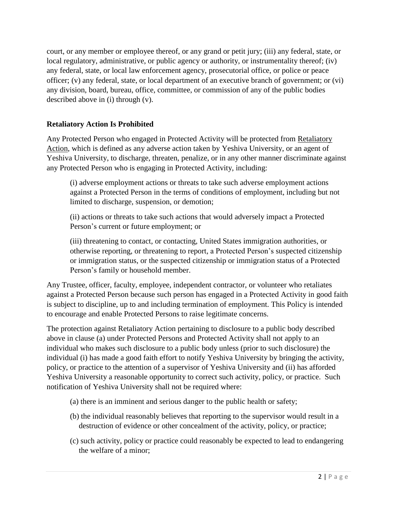court, or any member or employee thereof, or any grand or petit jury; (iii) any federal, state, or local regulatory, administrative, or public agency or authority, or instrumentality thereof; (iv) any federal, state, or local law enforcement agency, prosecutorial office, or police or peace officer; (v) any federal, state, or local department of an executive branch of government; or (vi) any division, board, bureau, office, committee, or commission of any of the public bodies described above in (i) through (v).

# **Retaliatory Action Is Prohibited**

Any Protected Person who engaged in Protected Activity will be protected from Retaliatory Action, which is defined as any adverse action taken by Yeshiva University, or an agent of Yeshiva University, to discharge, threaten, penalize, or in any other manner discriminate against any Protected Person who is engaging in Protected Activity, including:

(i) adverse employment actions or threats to take such adverse employment actions against a Protected Person in the terms of conditions of employment, including but not limited to discharge, suspension, or demotion;

(ii) actions or threats to take such actions that would adversely impact a Protected Person's current or future employment; or

(iii) threatening to contact, or contacting, United States immigration authorities, or otherwise reporting, or threatening to report, a Protected Person's suspected citizenship or immigration status, or the suspected citizenship or immigration status of a Protected Person's family or household member.

Any Trustee, officer, faculty, employee, independent contractor, or volunteer who retaliates against a Protected Person because such person has engaged in a Protected Activity in good faith is subject to discipline, up to and including termination of employment. This Policy is intended to encourage and enable Protected Persons to raise legitimate concerns.

The protection against Retaliatory Action pertaining to disclosure to a public body described above in clause (a) under Protected Persons and Protected Activity shall not apply to an individual who makes such disclosure to a public body unless (prior to such disclosure) the individual (i) has made a good faith effort to notify Yeshiva University by bringing the activity, policy, or practice to the attention of a supervisor of Yeshiva University and (ii) has afforded Yeshiva University a reasonable opportunity to correct such activity, policy, or practice. Such notification of Yeshiva University shall not be required where:

- (a) there is an imminent and serious danger to the public health or safety;
- (b) the individual reasonably believes that reporting to the supervisor would result in a destruction of evidence or other concealment of the activity, policy, or practice;
- (c) such activity, policy or practice could reasonably be expected to lead to endangering the welfare of a minor;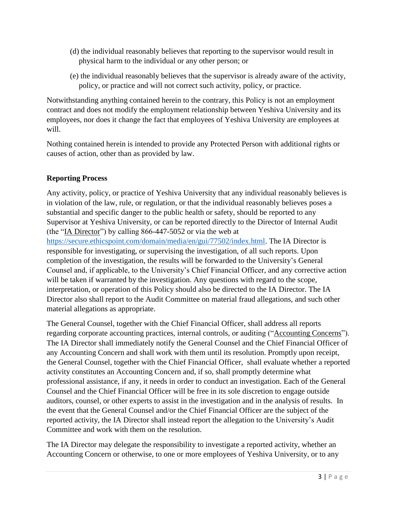- (d) the individual reasonably believes that reporting to the supervisor would result in physical harm to the individual or any other person; or
- (e) the individual reasonably believes that the supervisor is already aware of the activity, policy, or practice and will not correct such activity, policy, or practice.

Notwithstanding anything contained herein to the contrary, this Policy is not an employment contract and does not modify the employment relationship between Yeshiva University and its employees, nor does it change the fact that employees of Yeshiva University are employees at will.

Nothing contained herein is intended to provide any Protected Person with additional rights or causes of action, other than as provided by law.

# **Reporting Process**

Any activity, policy, or practice of Yeshiva University that any individual reasonably believes is in violation of the law, rule, or regulation, or that the individual reasonably believes poses a substantial and specific danger to the public health or safety, should be reported to any Supervisor at Yeshiva University, or can be reported directly to the Director of Internal Audit (the "IA Director") by calling 866-447-5052 or via the web at [https://secure.ethicspoint.com/domain/media/en/gui/77502/index.html.](https://secure.ethicspoint.com/domain/media/en/gui/77502/index.html) The IA Director is responsible for investigating, or supervising the investigation, of all such reports. Upon completion of the investigation, the results will be forwarded to the University's General Counsel and, if applicable, to the University's Chief Financial Officer, and any corrective action will be taken if warranted by the investigation. Any questions with regard to the scope, interpretation, or operation of this Policy should also be directed to the IA Director. The IA Director also shall report to the Audit Committee on material fraud allegations, and such other material allegations as appropriate.

The General Counsel, together with the Chief Financial Officer, shall address all reports regarding corporate accounting practices, internal controls, or auditing ("Accounting Concerns"). The IA Director shall immediately notify the General Counsel and the Chief Financial Officer of any Accounting Concern and shall work with them until its resolution. Promptly upon receipt, the General Counsel, together with the Chief Financial Officer, shall evaluate whether a reported activity constitutes an Accounting Concern and, if so, shall promptly determine what professional assistance, if any, it needs in order to conduct an investigation. Each of the General Counsel and the Chief Financial Officer will be free in its sole discretion to engage outside auditors, counsel, or other experts to assist in the investigation and in the analysis of results. In the event that the General Counsel and/or the Chief Financial Officer are the subject of the reported activity, the IA Director shall instead report the allegation to the University's Audit Committee and work with them on the resolution.

The IA Director may delegate the responsibility to investigate a reported activity, whether an Accounting Concern or otherwise, to one or more employees of Yeshiva University, or to any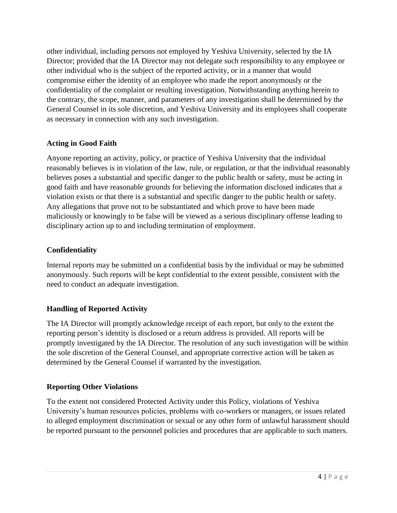other individual, including persons not employed by Yeshiva University, selected by the IA Director; provided that the IA Director may not delegate such responsibility to any employee or other individual who is the subject of the reported activity, or in a manner that would compromise either the identity of an employee who made the report anonymously or the confidentiality of the complaint or resulting investigation. Notwithstanding anything herein to the contrary, the scope, manner, and parameters of any investigation shall be determined by the General Counsel in its sole discretion, and Yeshiva University and its employees shall cooperate as necessary in connection with any such investigation.

## **Acting in Good Faith**

Anyone reporting an activity, policy, or practice of Yeshiva University that the individual reasonably believes is in violation of the law, rule, or regulation, or that the individual reasonably believes poses a substantial and specific danger to the public health or safety, must be acting in good faith and have reasonable grounds for believing the information disclosed indicates that a violation exists or that there is a substantial and specific danger to the public health or safety. Any allegations that prove not to be substantiated and which prove to have been made maliciously or knowingly to be false will be viewed as a serious disciplinary offense leading to disciplinary action up to and including termination of employment.

## **Confidentiality**

Internal reports may be submitted on a confidential basis by the individual or may be submitted anonymously. Such reports will be kept confidential to the extent possible, consistent with the need to conduct an adequate investigation.

# **Handling of Reported Activity**

The IA Director will promptly acknowledge receipt of each report, but only to the extent the reporting person's identity is disclosed or a return address is provided. All reports will be promptly investigated by the IA Director. The resolution of any such investigation will be within the sole discretion of the General Counsel, and appropriate corrective action will be taken as determined by the General Counsel if warranted by the investigation.

#### **Reporting Other Violations**

To the extent not considered Protected Activity under this Policy, violations of Yeshiva University's human resources policies, problems with co-workers or managers, or issues related to alleged employment discrimination or sexual or any other form of unlawful harassment should be reported pursuant to the personnel policies and procedures that are applicable to such matters.